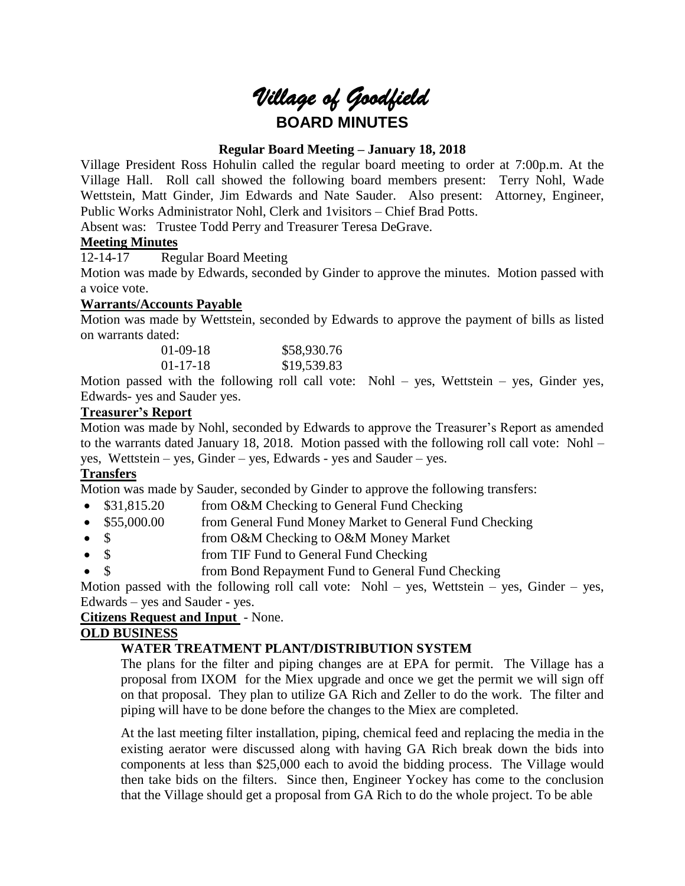# *Village of Goodfield* **BOARD MINUTES**

# **Regular Board Meeting – January 18, 2018**

Village President Ross Hohulin called the regular board meeting to order at 7:00p.m. At the Village Hall. Roll call showed the following board members present: Terry Nohl, Wade Wettstein, Matt Ginder, Jim Edwards and Nate Sauder. Also present: Attorney, Engineer, Public Works Administrator Nohl, Clerk and 1visitors – Chief Brad Potts.

Absent was: Trustee Todd Perry and Treasurer Teresa DeGrave.

## **Meeting Minutes**

12-14-17 Regular Board Meeting

Motion was made by Edwards, seconded by Ginder to approve the minutes. Motion passed with a voice vote.

# **Warrants/Accounts Payable**

Motion was made by Wettstein, seconded by Edwards to approve the payment of bills as listed on warrants dated:

| $01 - 09 - 18$ | \$58,930.76 |
|----------------|-------------|
| $01 - 17 - 18$ | \$19,539.83 |

Motion passed with the following roll call vote: Nohl – yes, Wettstein – yes, Ginder yes, Edwards- yes and Sauder yes.

## **Treasurer's Report**

Motion was made by Nohl, seconded by Edwards to approve the Treasurer's Report as amended to the warrants dated January 18, 2018. Motion passed with the following roll call vote: Nohl – yes, Wettstein – yes, Ginder – yes, Edwards - yes and Sauder – yes.

# **Transfers**

Motion was made by Sauder, seconded by Ginder to approve the following transfers:

- \$31,815.20 from O&M Checking to General Fund Checking
- \$55,000.00 from General Fund Money Market to General Fund Checking
- \$ from O&M Checking to O&M Money Market
- \$ from TIF Fund to General Fund Checking
- \$ from Bond Repayment Fund to General Fund Checking

Motion passed with the following roll call vote: Nohl – yes, Wettstein – yes, Ginder – yes, Edwards – yes and Sauder - yes.

## **Citizens Request and Input** - None.

## **OLD BUSINESS**

# **WATER TREATMENT PLANT/DISTRIBUTION SYSTEM**

The plans for the filter and piping changes are at EPA for permit. The Village has a proposal from IXOM for the Miex upgrade and once we get the permit we will sign off on that proposal. They plan to utilize GA Rich and Zeller to do the work. The filter and piping will have to be done before the changes to the Miex are completed.

At the last meeting filter installation, piping, chemical feed and replacing the media in the existing aerator were discussed along with having GA Rich break down the bids into components at less than \$25,000 each to avoid the bidding process. The Village would then take bids on the filters. Since then, Engineer Yockey has come to the conclusion that the Village should get a proposal from GA Rich to do the whole project. To be able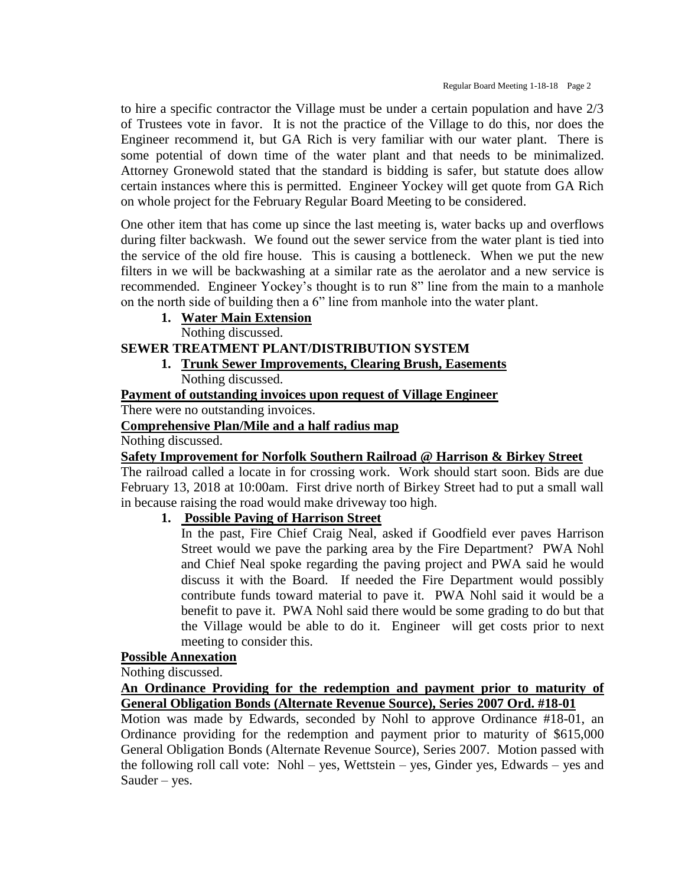to hire a specific contractor the Village must be under a certain population and have 2/3 of Trustees vote in favor. It is not the practice of the Village to do this, nor does the Engineer recommend it, but GA Rich is very familiar with our water plant. There is some potential of down time of the water plant and that needs to be minimalized. Attorney Gronewold stated that the standard is bidding is safer, but statute does allow certain instances where this is permitted. Engineer Yockey will get quote from GA Rich on whole project for the February Regular Board Meeting to be considered.

One other item that has come up since the last meeting is, water backs up and overflows during filter backwash. We found out the sewer service from the water plant is tied into the service of the old fire house. This is causing a bottleneck. When we put the new filters in we will be backwashing at a similar rate as the aerolator and a new service is recommended. Engineer Yockey's thought is to run 8" line from the main to a manhole on the north side of building then a 6" line from manhole into the water plant.

# **1. Water Main Extension**

Nothing discussed.

# **SEWER TREATMENT PLANT/DISTRIBUTION SYSTEM**

**1. Trunk Sewer Improvements, Clearing Brush, Easements** Nothing discussed.

**Payment of outstanding invoices upon request of Village Engineer**

There were no outstanding invoices.

#### **Comprehensive Plan/Mile and a half radius map**

#### Nothing discussed.

## **Safety Improvement for Norfolk Southern Railroad @ Harrison & Birkey Street**

The railroad called a locate in for crossing work. Work should start soon. Bids are due February 13, 2018 at 10:00am. First drive north of Birkey Street had to put a small wall in because raising the road would make driveway too high.

# **1. Possible Paving of Harrison Street**

In the past, Fire Chief Craig Neal, asked if Goodfield ever paves Harrison Street would we pave the parking area by the Fire Department? PWA Nohl and Chief Neal spoke regarding the paving project and PWA said he would discuss it with the Board. If needed the Fire Department would possibly contribute funds toward material to pave it. PWA Nohl said it would be a benefit to pave it. PWA Nohl said there would be some grading to do but that the Village would be able to do it. Engineer will get costs prior to next meeting to consider this.

#### **Possible Annexation**

Nothing discussed.

**An Ordinance Providing for the redemption and payment prior to maturity of General Obligation Bonds (Alternate Revenue Source), Series 2007 Ord. #18-01**

Motion was made by Edwards, seconded by Nohl to approve Ordinance #18-01, an Ordinance providing for the redemption and payment prior to maturity of \$615,000 General Obligation Bonds (Alternate Revenue Source), Series 2007. Motion passed with the following roll call vote: Nohl – yes, Wettstein – yes, Ginder yes, Edwards – yes and Sauder – yes.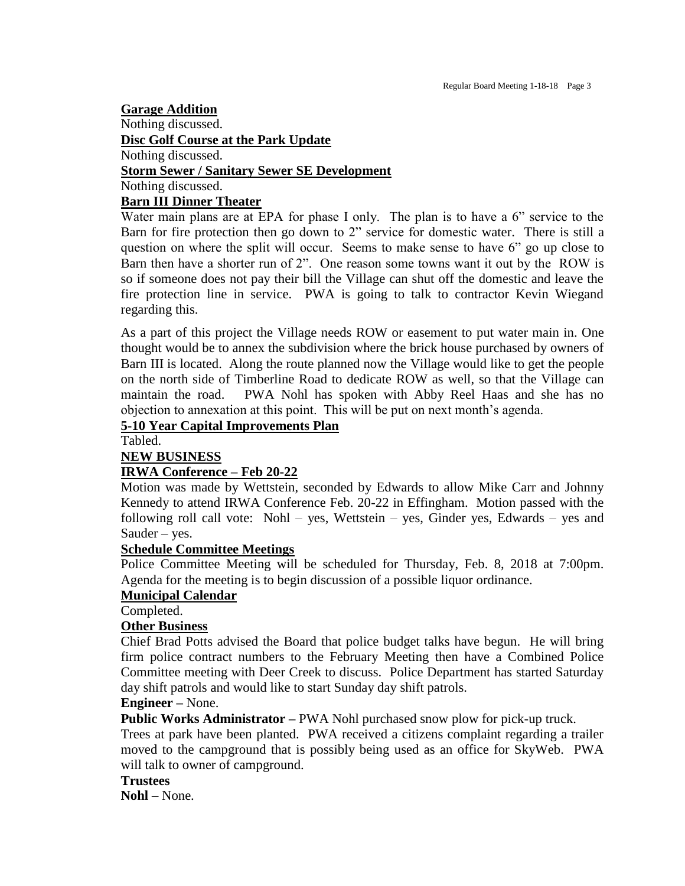## **Garage Addition** Nothing discussed. **Disc Golf Course at the Park Update** Nothing discussed. **Storm Sewer / Sanitary Sewer SE Development** Nothing discussed. **Barn III Dinner Theater**

# Water main plans are at EPA for phase I only. The plan is to have a 6" service to the Barn for fire protection then go down to 2" service for domestic water. There is still a question on where the split will occur. Seems to make sense to have 6" go up close to Barn then have a shorter run of 2". One reason some towns want it out by the ROW is so if someone does not pay their bill the Village can shut off the domestic and leave the fire protection line in service. PWA is going to talk to contractor Kevin Wiegand regarding this.

As a part of this project the Village needs ROW or easement to put water main in. One thought would be to annex the subdivision where the brick house purchased by owners of Barn III is located. Along the route planned now the Village would like to get the people on the north side of Timberline Road to dedicate ROW as well, so that the Village can maintain the road. PWA Nohl has spoken with Abby Reel Haas and she has no objection to annexation at this point. This will be put on next month's agenda.

## **5-10 Year Capital Improvements Plan**

Tabled.

#### **NEW BUSINESS**

## **IRWA Conference – Feb 20-22**

Motion was made by Wettstein, seconded by Edwards to allow Mike Carr and Johnny Kennedy to attend IRWA Conference Feb. 20-22 in Effingham. Motion passed with the following roll call vote: Nohl – yes, Wettstein – yes, Ginder yes, Edwards – yes and Sauder – yes.

#### **Schedule Committee Meetings**

Police Committee Meeting will be scheduled for Thursday, Feb. 8, 2018 at 7:00pm. Agenda for the meeting is to begin discussion of a possible liquor ordinance.

#### **Municipal Calendar**

Completed.

#### **Other Business**

Chief Brad Potts advised the Board that police budget talks have begun. He will bring firm police contract numbers to the February Meeting then have a Combined Police Committee meeting with Deer Creek to discuss. Police Department has started Saturday day shift patrols and would like to start Sunday day shift patrols.

#### **Engineer –** None.

**Public Works Administrator –** PWA Nohl purchased snow plow for pick-up truck.

Trees at park have been planted. PWA received a citizens complaint regarding a trailer moved to the campground that is possibly being used as an office for SkyWeb. PWA will talk to owner of campground.

#### **Trustees**

**Nohl** – None.